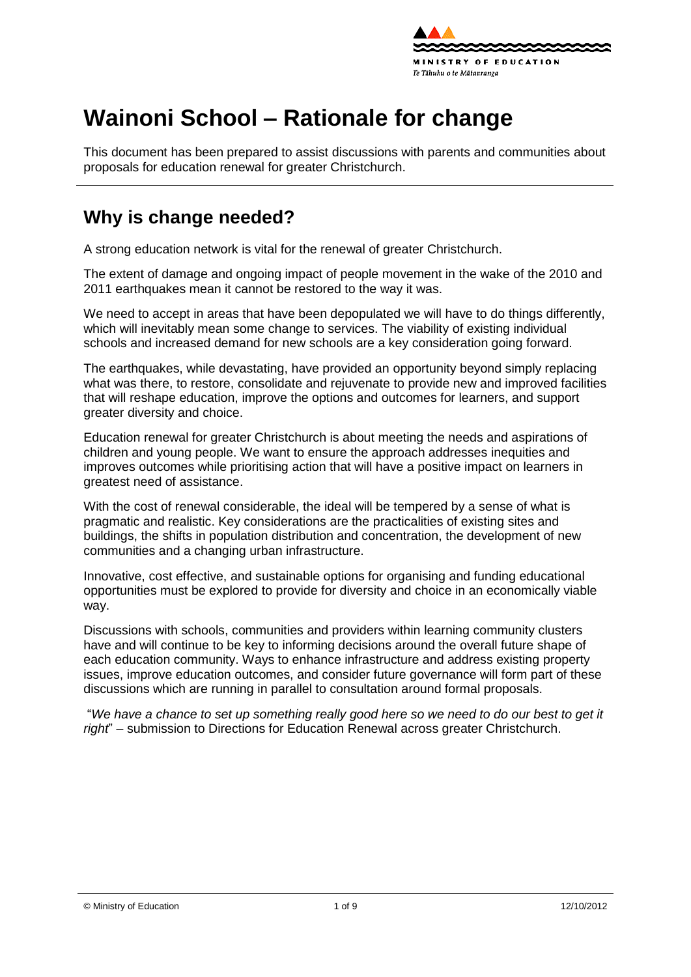

# **Wainoni School – Rationale for change**

This document has been prepared to assist discussions with parents and communities about proposals for education renewal for greater Christchurch.

### **Why is change needed?**

A strong education network is vital for the renewal of greater Christchurch.

The extent of damage and ongoing impact of people movement in the wake of the 2010 and 2011 earthquakes mean it cannot be restored to the way it was.

We need to accept in areas that have been depopulated we will have to do things differently, which will inevitably mean some change to services. The viability of existing individual schools and increased demand for new schools are a key consideration going forward.

The earthquakes, while devastating, have provided an opportunity beyond simply replacing what was there, to [restore,](http://shapingeducation.minedu.govt.nz/guiding-the-process-of-renewal/restore) [consolidate](http://shapingeducation.minedu.govt.nz/guiding-the-process-of-renewal/consolidate) and [rejuvenate](http://shapingeducation.minedu.govt.nz/guiding-the-process-of-renewal/rejuvenate) to provide new and improved facilities that will reshape education, improve the options and outcomes for learners, and support greater diversity and choice.

Education renewal for greater Christchurch is about meeting the needs and aspirations of children and young people. We want to ensure the approach addresses inequities and improves outcomes while prioritising action that will have a positive impact on learners in greatest need of assistance.

With the cost of renewal considerable, the ideal will be tempered by a sense of what is pragmatic and realistic. Key considerations are the practicalities of existing sites and buildings, the shifts in population distribution and concentration, the development of new communities and a changing urban infrastructure.

Innovative, cost effective, and sustainable options for organising and funding educational opportunities must be explored to provide for diversity and choice in an economically viable way.

Discussions with schools, communities and providers within learning community clusters have and will continue to be key to informing decisions around the overall future shape of each education community. Ways to enhance infrastructure and address existing property issues, improve education outcomes, and consider future governance will form part of these discussions which are running in parallel to consultation around formal proposals.

"*We have a chance to set up something really good here so we need to do our best to get it right*" – submission to Directions for Education Renewal across greater Christchurch.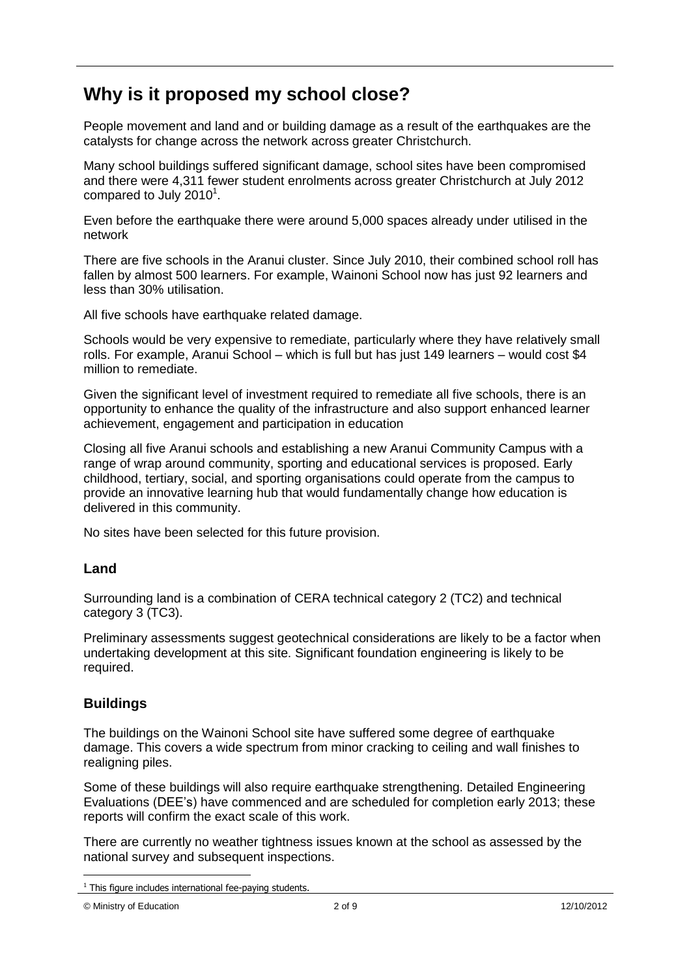# **Why is it proposed my school close?**

People movement and land and or building damage as a result of the earthquakes are the catalysts for change across the network across greater Christchurch.

Many school buildings suffered significant damage, school sites have been compromised and there were 4,311 fewer student enrolments across greater Christchurch at July 2012 compared to July 2010 $^1$ .

Even before the earthquake there were around 5,000 spaces already under utilised in the network

There are five schools in the Aranui cluster. Since July 2010, their combined school roll has fallen by almost 500 learners. For example, Wainoni School now has just 92 learners and less than 30% utilisation.

All five schools have earthquake related damage.

Schools would be very expensive to remediate, particularly where they have relatively small rolls. For example, Aranui School – which is full but has just 149 learners – would cost \$4 million to remediate.

Given the significant level of investment required to remediate all five schools, there is an opportunity to enhance the quality of the infrastructure and also support enhanced learner achievement, engagement and participation in education

Closing all five Aranui schools and establishing a new Aranui Community Campus with a range of wrap around community, sporting and educational services is proposed. Early childhood, tertiary, social, and sporting organisations could operate from the campus to provide an innovative learning hub that would fundamentally change how education is delivered in this community.

No sites have been selected for this future provision.

### **Land**

Surrounding land is a combination of CERA technical category 2 (TC2) and technical category 3 (TC3).

Preliminary assessments suggest geotechnical considerations are likely to be a factor when undertaking development at this site. Significant foundation engineering is likely to be required.

### **Buildings**

The buildings on the Wainoni School site have suffered some degree of earthquake damage. This covers a wide spectrum from minor cracking to ceiling and wall finishes to realigning piles.

Some of these buildings will also require earthquake strengthening. Detailed Engineering Evaluations (DEE"s) have commenced and are scheduled for completion early 2013; these reports will confirm the exact scale of this work.

There are currently no weather tightness issues known at the school as assessed by the national survey and subsequent inspections.

<sup>1</sup>  $1$  This figure includes international fee-paying students.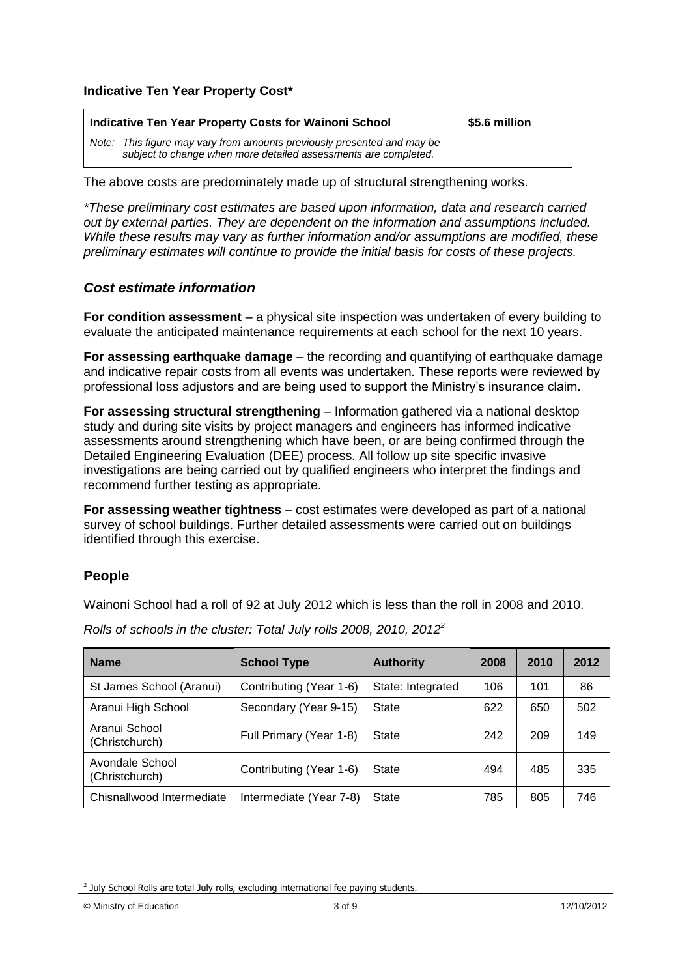#### **Indicative Ten Year Property Cost\***

| Indicative Ten Year Property Costs for Wainoni School                                                                                      | \$5.6 million |
|--------------------------------------------------------------------------------------------------------------------------------------------|---------------|
| Note: This figure may vary from amounts previously presented and may be<br>subject to change when more detailed assessments are completed. |               |

The above costs are predominately made up of structural strengthening works.

*\*These preliminary cost estimates are based upon information, data and research carried out by external parties. They are dependent on the information and assumptions included. While these results may vary as further information and/or assumptions are modified, these preliminary estimates will continue to provide the initial basis for costs of these projects.*

#### *Cost estimate information*

**For condition assessment** – a physical site inspection was undertaken of every building to evaluate the anticipated maintenance requirements at each school for the next 10 years.

**For assessing earthquake damage** – the recording and quantifying of earthquake damage and indicative repair costs from all events was undertaken. These reports were reviewed by professional loss adjustors and are being used to support the Ministry"s insurance claim.

**For assessing structural strengthening** – Information gathered via a national desktop study and during site visits by project managers and engineers has informed indicative assessments around strengthening which have been, or are being confirmed through the Detailed Engineering Evaluation (DEE) process. All follow up site specific invasive investigations are being carried out by qualified engineers who interpret the findings and recommend further testing as appropriate.

**For assessing weather tightness** – cost estimates were developed as part of a national survey of school buildings. Further detailed assessments were carried out on buildings identified through this exercise.

#### **People**

Wainoni School had a roll of 92 at July 2012 which is less than the roll in 2008 and 2010.

| <b>Name</b>                       | <b>School Type</b>      | <b>Authority</b>  | 2008 | 2010 | 2012 |
|-----------------------------------|-------------------------|-------------------|------|------|------|
| St James School (Aranui)          | Contributing (Year 1-6) | State: Integrated | 106  | 101  | 86   |
| Aranui High School                | Secondary (Year 9-15)   | State             | 622  | 650  | 502  |
| Aranui School<br>(Christchurch)   | Full Primary (Year 1-8) | State             | 242  | 209  | 149  |
| Avondale School<br>(Christchurch) | Contributing (Year 1-6) | State             | 494  | 485  | 335  |
| Chisnallwood Intermediate         | Intermediate (Year 7-8) | <b>State</b>      | 785  | 805  | 746  |

*Rolls of schools in the cluster: Total July rolls 2008, 2010, 2012<sup>2</sup>*

1

 $2$  July School Rolls are total July rolls, excluding international fee paying students.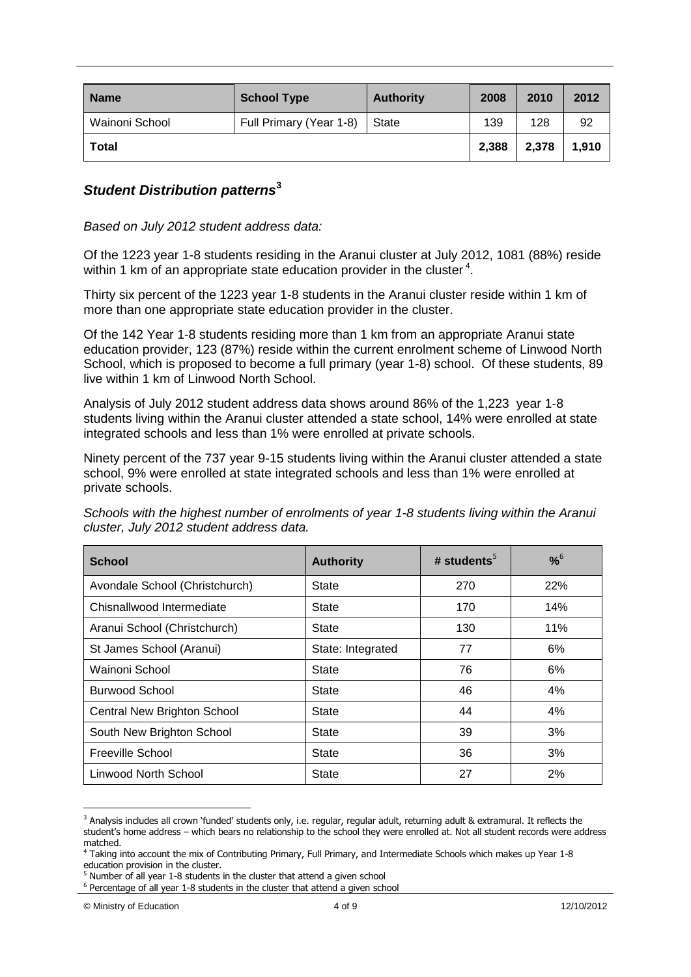| <b>Name</b>    | <b>School Type</b>      | <b>Authority</b> | 2008  | 2010  | 2012  |
|----------------|-------------------------|------------------|-------|-------|-------|
| Wainoni School | Full Primary (Year 1-8) | State            | 139   | 128   | 92    |
| Total          |                         |                  | 2,388 | 2,378 | 1,910 |

#### *Student Distribution patterns***<sup>3</sup>**

*Based on July 2012 student address data:*

Of the 1223 year 1-8 students residing in the Aranui cluster at July 2012, 1081 (88%) reside within 1 km of an appropriate state education provider in the cluster<sup>4</sup>.

Thirty six percent of the 1223 year 1-8 students in the Aranui cluster reside within 1 km of more than one appropriate state education provider in the cluster.

Of the 142 Year 1-8 students residing more than 1 km from an appropriate Aranui state education provider, 123 (87%) reside within the current enrolment scheme of Linwood North School, which is proposed to become a full primary (year 1-8) school. Of these students, 89 live within 1 km of Linwood North School.

Analysis of July 2012 student address data shows around 86% of the 1,223 year 1-8 students living within the Aranui cluster attended a state school, 14% were enrolled at state integrated schools and less than 1% were enrolled at private schools.

Ninety percent of the 737 year 9-15 students living within the Aranui cluster attended a state school, 9% were enrolled at state integrated schools and less than 1% were enrolled at private schools.

*Schools with the highest number of enrolments of year 1-8 students living within the Aranui cluster, July 2012 student address data.*

| <b>School</b>                      | <b>Authority</b>  | # students <sup>5</sup> | $% ^{6}$ |
|------------------------------------|-------------------|-------------------------|----------|
| Avondale School (Christchurch)     | State             | 270                     | 22%      |
| Chisnallwood Intermediate          | State             | 170                     | 14%      |
| Aranui School (Christchurch)       | State             | 130                     | 11%      |
| St James School (Aranui)           | State: Integrated | 77                      | 6%       |
| Wainoni School                     | State             | 76                      | 6%       |
| Burwood School                     | State             | 46                      | 4%       |
| <b>Central New Brighton School</b> | State             | 44                      | 4%       |
| South New Brighton School          | State             | 39                      | 3%       |
| Freeville School                   | State             | 36                      | 3%       |
| Linwood North School               | State             | 27                      | 2%       |

<sup>&</sup>lt;u>.</u> <sup>3</sup> Analysis includes all crown 'funded' students only, i.e. regular, regular adult, returning adult & extramural. It reflects the student's home address – which bears no relationship to the school they were enrolled at. Not all student records were address matched.

<sup>4</sup> Taking into account the mix of Contributing Primary, Full Primary, and Intermediate Schools which makes up Year 1-8 education provision in the cluster.

<sup>&</sup>lt;sup>5</sup> Number of all year 1-8 students in the cluster that attend a given school

 $6$  Percentage of all year 1-8 students in the cluster that attend a given school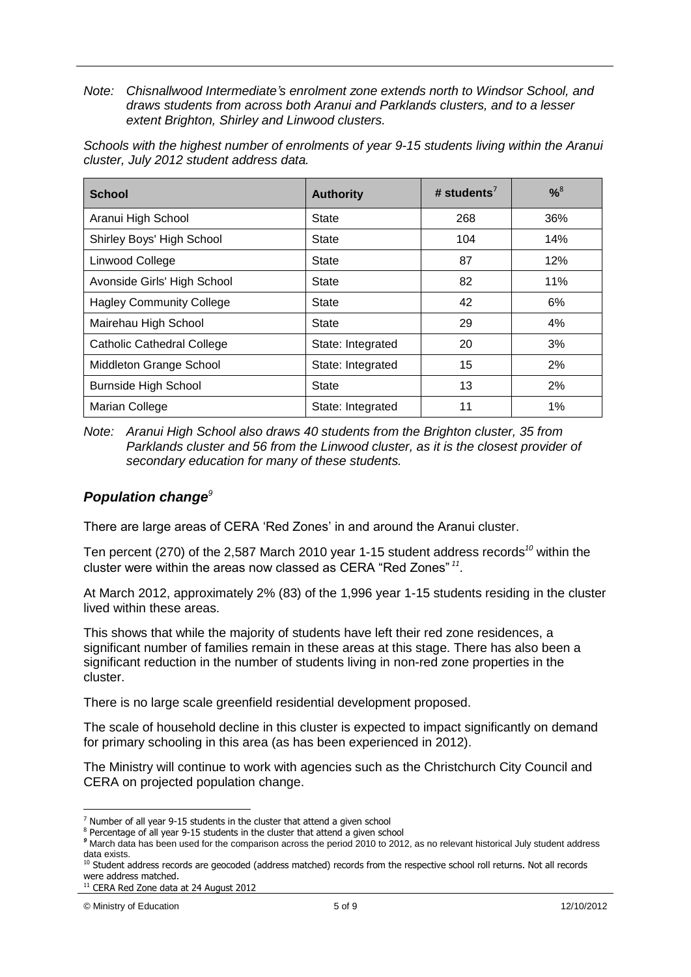*Note: Chisnallwood Intermediate's enrolment zone extends north to Windsor School, and draws students from across both Aranui and Parklands clusters, and to a lesser extent Brighton, Shirley and Linwood clusters.*

*Schools with the highest number of enrolments of year 9-15 students living within the Aranui cluster, July 2012 student address data.*

| <b>School</b>                     | <b>Authority</b>  | # students <sup><math>\prime</math></sup> | $% ^{8}$ |
|-----------------------------------|-------------------|-------------------------------------------|----------|
| Aranui High School                | State             | 268                                       | 36%      |
| Shirley Boys' High School         | <b>State</b>      | 104                                       | 14%      |
| Linwood College                   | <b>State</b>      | 87                                        | 12%      |
| Avonside Girls' High School       | <b>State</b>      | 82                                        | 11%      |
| <b>Hagley Community College</b>   | State             | 42                                        | 6%       |
| Mairehau High School              | State             | 29                                        | 4%       |
| <b>Catholic Cathedral College</b> | State: Integrated | 20                                        | 3%       |
| Middleton Grange School           | State: Integrated | 15                                        | 2%       |
| <b>Burnside High School</b>       | State             | 13                                        | 2%       |
| Marian College                    | State: Integrated | 11                                        | 1%       |

*Note: Aranui High School also draws 40 students from the Brighton cluster, 35 from Parklands cluster and 56 from the Linwood cluster, as it is the closest provider of secondary education for many of these students.*

### *Population change<sup>9</sup>*

There are large areas of CERA 'Red Zones' in and around the Aranui cluster.

Ten percent (270) of the 2,587 March 2010 year 1-15 student address records*<sup>10</sup>* within the cluster were within the areas now classed as CERA "Red Zones" *<sup>11</sup>* .

At March 2012, approximately 2% (83) of the 1,996 year 1-15 students residing in the cluster lived within these areas.

This shows that while the majority of students have left their red zone residences, a significant number of families remain in these areas at this stage. There has also been a significant reduction in the number of students living in non-red zone properties in the cluster.

There is no large scale greenfield residential development proposed.

The scale of household decline in this cluster is expected to impact significantly on demand for primary schooling in this area (as has been experienced in 2012).

The Ministry will continue to work with agencies such as the Christchurch City Council and CERA on projected population change.

1

 $<sup>7</sup>$  Number of all year 9-15 students in the cluster that attend a given school</sup>

<sup>&</sup>lt;sup>8</sup> Percentage of all year 9-15 students in the cluster that attend a given school

*<sup>9</sup>* March data has been used for the comparison across the period 2010 to 2012, as no relevant historical July student address data exists.

<sup>&</sup>lt;sup>10</sup> Student address records are geocoded (address matched) records from the respective school roll returns. Not all records were address matched.

<sup>&</sup>lt;sup>11</sup> CERA Red Zone data at 24 August 2012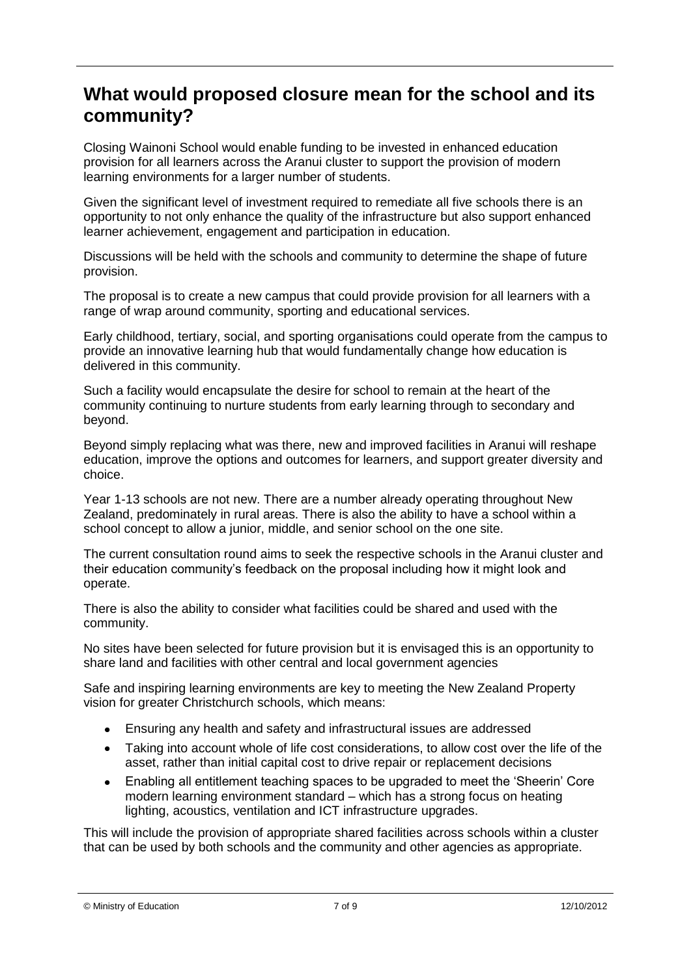### **What would proposed closure mean for the school and its community?**

Closing Wainoni School would enable funding to be invested in enhanced education provision for all learners across the Aranui cluster to support the provision of modern learning environments for a larger number of students.

Given the significant level of investment required to remediate all five schools there is an opportunity to not only enhance the quality of the infrastructure but also support enhanced learner achievement, engagement and participation in education.

Discussions will be held with the schools and community to determine the shape of future provision.

The proposal is to create a new campus that could provide provision for all learners with a range of wrap around community, sporting and educational services.

Early childhood, tertiary, social, and sporting organisations could operate from the campus to provide an innovative learning hub that would fundamentally change how education is delivered in this community.

Such a facility would encapsulate the desire for school to remain at the heart of the community continuing to nurture students from early learning through to secondary and beyond.

Beyond simply replacing what was there, new and improved facilities in Aranui will reshape education, improve the options and outcomes for learners, and support greater diversity and choice.

Year 1-13 schools are not new. There are a number already operating throughout New Zealand, predominately in rural areas. There is also the ability to have a school within a school concept to allow a junior, middle, and senior school on the one site.

The current consultation round aims to seek the respective schools in the Aranui cluster and their education community"s feedback on the proposal including how it might look and operate.

There is also the ability to consider what facilities could be shared and used with the community.

No sites have been selected for future provision but it is envisaged this is an opportunity to share land and facilities with other central and local government agencies

Safe and inspiring learning environments are key to meeting the New Zealand Property vision for greater Christchurch schools, which means:

- Ensuring any health and safety and infrastructural issues are addressed  $\bullet$
- Taking into account whole of life cost considerations, to allow cost over the life of the asset, rather than initial capital cost to drive repair or replacement decisions
- Enabling all entitlement teaching spaces to be upgraded to meet the "Sheerin" Core  $\bullet$ modern learning environment standard – which has a strong focus on heating lighting, acoustics, ventilation and ICT infrastructure upgrades.

This will include the provision of appropriate shared facilities across schools within a cluster that can be used by both schools and the community and other agencies as appropriate.

<sup>©</sup> Ministry of Education 7 of 9 12/10/2012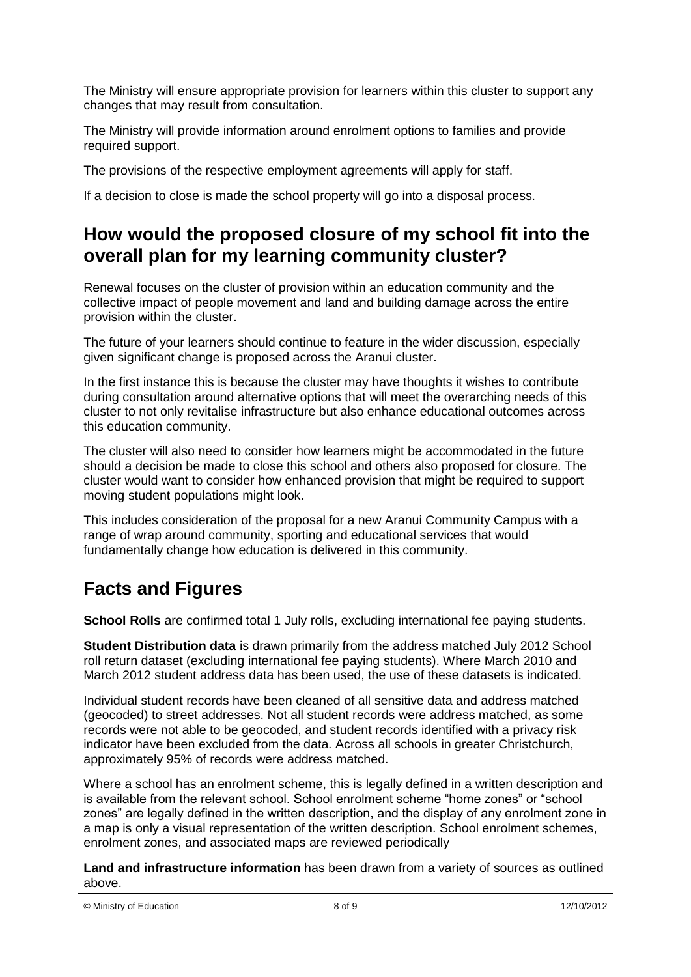The Ministry will ensure appropriate provision for learners within this cluster to support any changes that may result from consultation.

The Ministry will provide information around enrolment options to families and provide required support.

The provisions of the respective employment agreements will apply for staff.

If a decision to close is made the school property will go into a disposal process.

# **How would the proposed closure of my school fit into the overall plan for my learning community cluster?**

Renewal focuses on the cluster of provision within an education community and the collective impact of people movement and land and building damage across the entire provision within the cluster.

The future of your learners should continue to feature in the wider discussion, especially given significant change is proposed across the Aranui cluster.

In the first instance this is because the cluster may have thoughts it wishes to contribute during consultation around alternative options that will meet the overarching needs of this cluster to not only revitalise infrastructure but also enhance educational outcomes across this education community.

The cluster will also need to consider how learners might be accommodated in the future should a decision be made to close this school and others also proposed for closure. The cluster would want to consider how enhanced provision that might be required to support moving student populations might look.

This includes consideration of the proposal for a new Aranui Community Campus with a range of wrap around community, sporting and educational services that would fundamentally change how education is delivered in this community.

# **Facts and Figures**

**School Rolls** are confirmed total 1 July rolls, excluding international fee paying students.

**Student Distribution data** is drawn primarily from the address matched July 2012 School roll return dataset (excluding international fee paying students). Where March 2010 and March 2012 student address data has been used, the use of these datasets is indicated.

Individual student records have been cleaned of all sensitive data and address matched (geocoded) to street addresses. Not all student records were address matched, as some records were not able to be geocoded, and student records identified with a privacy risk indicator have been excluded from the data. Across all schools in greater Christchurch, approximately 95% of records were address matched.

Where a school has an enrolment scheme, this is legally defined in a written description and is available from the relevant school. School enrolment scheme "home zones" or "school zones" are legally defined in the written description, and the display of any enrolment zone in a map is only a visual representation of the written description. School enrolment schemes, enrolment zones, and associated maps are reviewed periodically

**Land and infrastructure information** has been drawn from a variety of sources as outlined above.